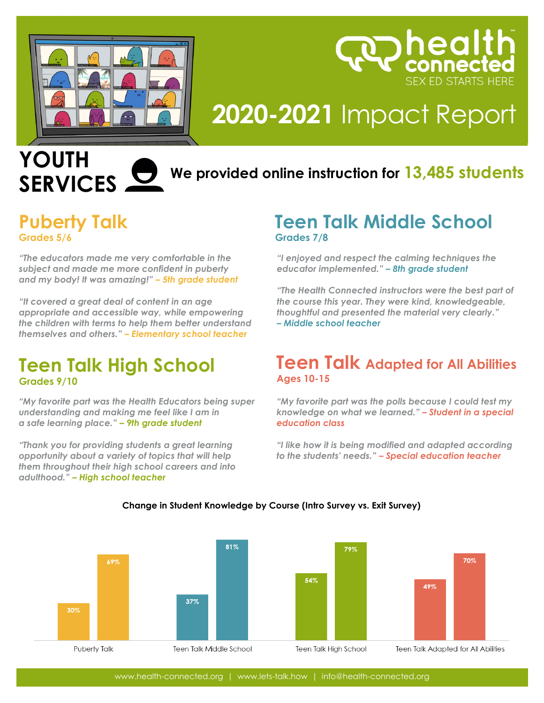

# **2020-2021** Impact Report

health

**SEX ED STARTS HERE** 

## **YOUTH SERVICES**

## **2020-2021 We provided online instruction for 13,485 students**

### **Puberty Talk Grades 5/6**

*"The educators made me very comfortable in the subject and made me more confident in puberty and my body! It was amazing!" – 5th grade student*

*"It covered a great deal of content in an age appropriate and accessible way, while empowering the children with terms to help them better understand themselves and others." – Elementary school teacher*

### **Teen Talk High School Grades 9/10**

*"My favorite part was the Health Educators being super understanding and making me feel like I am in a safe learning place." – 9th grade student*

*"Thank you for providing students a great learning opportunity about a variety of topics that will help them throughout their high school careers and into adulthood." – High school teacher*

#### **Impact Report Teen Talk Middle School Grades 7/8**

*"I enjoyed and respect the calming techniques the educator implemented." – 8th grade student*

*"The Health Connected instructors were the best part of the course this year. They were kind, knowledgeable, thoughtful and presented the material very clearly." – Middle school teacher* 

#### **Teen Talk Adapted for All Abilities Ages 10-15**

*"My favorite part was the polls because I could test my knowledge on what we learned." – Student in a special education class* 

*"I like how it is being modified and adapted according to the students' needs." – Special education teacher* 



#### **Change in Student Knowledge by Course (Intro Survey vs. Exit Survey)**